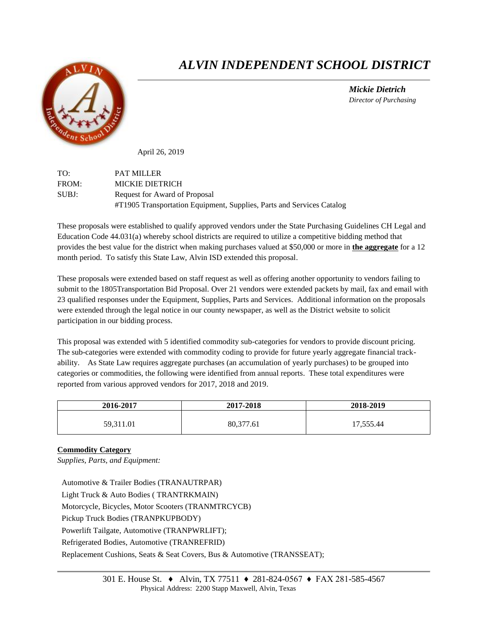

## *ALVIN INDEPENDENT SCHOOL DISTRICT*

 *Mickie Dietrich Director of Purchasing*

April 26, 2019

TO: PAT MILLER FROM: MICKIE DIETRICH SUBJ: Request for Award of Proposal #T1905 Transportation Equipment, Supplies, Parts and Services Catalog

These proposals were established to qualify approved vendors under the State Purchasing Guidelines CH Legal and Education Code 44.031(a) whereby school districts are required to utilize a competitive bidding method that provides the best value for the district when making purchases valued at \$50,000 or more in **the aggregate** for a 12 month period. To satisfy this State Law, Alvin ISD extended this proposal.

These proposals were extended based on staff request as well as offering another opportunity to vendors failing to submit to the 1805Transportation Bid Proposal. Over 21 vendors were extended packets by mail, fax and email with 23 qualified responses under the Equipment, Supplies, Parts and Services. Additional information on the proposals were extended through the legal notice in our county newspaper, as well as the District website to solicit participation in our bidding process.

This proposal was extended with 5 identified commodity sub-categories for vendors to provide discount pricing. The sub-categories were extended with commodity coding to provide for future yearly aggregate financial trackability. As State Law requires aggregate purchases (an accumulation of yearly purchases) to be grouped into categories or commodities, the following were identified from annual reports. These total expenditures were reported from various approved vendors for 2017, 2018 and 2019.

| 2016-2017 | 2017-2018 | 2018-2019 |
|-----------|-----------|-----------|
| 59,311.01 | 80,377.61 | 17,555.44 |

## **Commodity Category**

*Supplies, Parts, and Equipment:*

Automotive & Trailer Bodies (TRANAUTRPAR) Light Truck & Auto Bodies ( TRANTRKMAIN) Motorcycle, Bicycles, Motor Scooters (TRANMTRCYCB) Pickup Truck Bodies (TRANPKUPBODY) Powerlift Tailgate, Automotive (TRANPWRLIFT); Refrigerated Bodies, Automotive (TRANREFRID) Replacement Cushions, Seats & Seat Covers, Bus & Automotive (TRANSSEAT);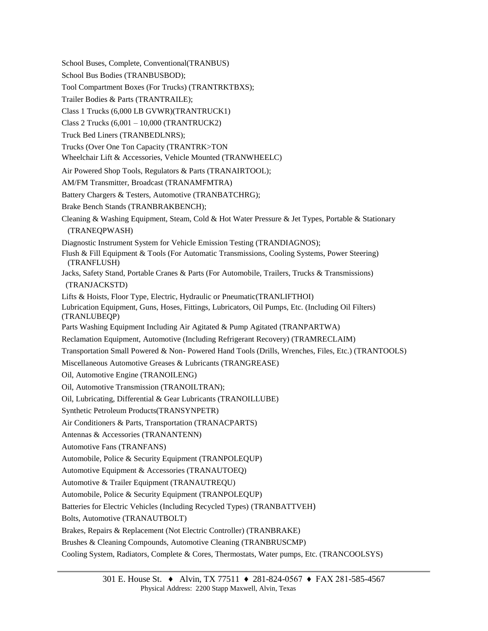School Buses, Complete, Conventional(TRANBUS) School Bus Bodies (TRANBUSBOD); Tool Compartment Boxes (For Trucks) (TRANTRKTBXS); Trailer Bodies & Parts (TRANTRAILE); Class 1 Trucks (6,000 LB GVWR)(TRANTRUCK1) Class 2 Trucks (6,001 – 10,000 (TRANTRUCK2) Truck Bed Liners (TRANBEDLNRS); Trucks (Over One Ton Capacity (TRANTRK>TON Wheelchair Lift & Accessories, Vehicle Mounted (TRANWHEELC) Air Powered Shop Tools, Regulators & Parts (TRANAIRTOOL); AM/FM Transmitter, Broadcast (TRANAMFMTRA) Battery Chargers & Testers, Automotive (TRANBATCHRG); Brake Bench Stands (TRANBRAKBENCH); Cleaning & Washing Equipment, Steam, Cold & Hot Water Pressure & Jet Types, Portable & Stationary (TRANEQPWASH) Diagnostic Instrument System for Vehicle Emission Testing (TRANDIAGNOS); Flush & Fill Equipment & Tools (For Automatic Transmissions, Cooling Systems, Power Steering) (TRANFLUSH) Jacks, Safety Stand, Portable Cranes & Parts (For Automobile, Trailers, Trucks & Transmissions) (TRANJACKSTD) Lifts & Hoists, Floor Type, Electric, Hydraulic or Pneumatic(TRANLIFTHOI) Lubrication Equipment, Guns, Hoses, Fittings, Lubricators, Oil Pumps, Etc. (Including Oil Filters) (TRANLUBEQP) Parts Washing Equipment Including Air Agitated & Pump Agitated (TRANPARTWA) Reclamation Equipment, Automotive (Including Refrigerant Recovery) (TRAMRECLAIM) Transportation Small Powered & Non- Powered Hand Tools (Drills, Wrenches, Files, Etc.) (TRANTOOLS) Miscellaneous Automotive Greases & Lubricants (TRANGREASE) Oil, Automotive Engine (TRANOILENG) Oil, Automotive Transmission (TRANOILTRAN); Oil, Lubricating, Differential & Gear Lubricants (TRANOILLUBE) Synthetic Petroleum Products(TRANSYNPETR) Air Conditioners & Parts, Transportation (TRANACPARTS) Antennas & Accessories (TRANANTENN) Automotive Fans (TRANFANS) Automobile, Police & Security Equipment (TRANPOLEQUP) Automotive Equipment & Accessories (TRANAUTOEQ) Automotive & Trailer Equipment (TRANAUTREQU) Automobile, Police & Security Equipment (TRANPOLEQUP) Batteries for Electric Vehicles (Including Recycled Types) (TRANBATTVEH) Bolts, Automotive (TRANAUTBOLT) Brakes, Repairs & Replacement (Not Electric Controller) (TRANBRAKE) Brushes & Cleaning Compounds, Automotive Cleaning (TRANBRUSCMP) Cooling System, Radiators, Complete & Cores, Thermostats, Water pumps, Etc. (TRANCOOLSYS)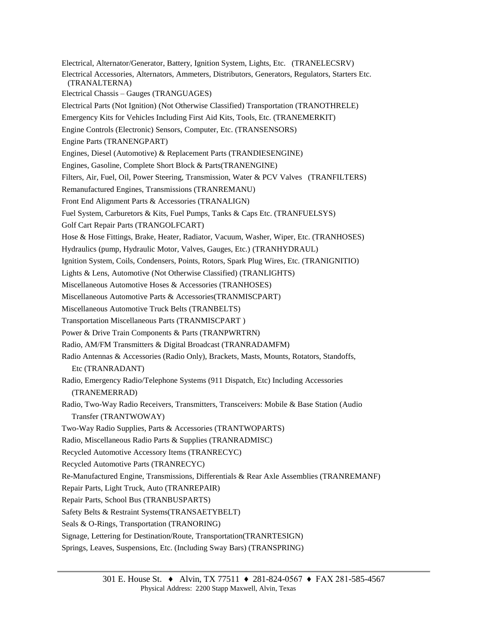Electrical, Alternator/Generator, Battery, Ignition System, Lights, Etc. (TRANELECSRV) Electrical Accessories, Alternators, Ammeters, Distributors, Generators, Regulators, Starters Etc. (TRANALTERNA) Electrical Chassis – Gauges (TRANGUAGES) Electrical Parts (Not Ignition) (Not Otherwise Classified) Transportation (TRANOTHRELE) Emergency Kits for Vehicles Including First Aid Kits, Tools, Etc. (TRANEMERKIT) Engine Controls (Electronic) Sensors, Computer, Etc. (TRANSENSORS) Engine Parts (TRANENGPART) Engines, Diesel (Automotive) & Replacement Parts (TRANDIESENGINE) Engines, Gasoline, Complete Short Block & Parts(TRANENGINE) Filters, Air, Fuel, Oil, Power Steering, Transmission, Water & PCV Valves (TRANFILTERS) Remanufactured Engines, Transmissions (TRANREMANU) Front End Alignment Parts & Accessories (TRANALIGN) Fuel System, Carburetors & Kits, Fuel Pumps, Tanks & Caps Etc. (TRANFUELSYS) Golf Cart Repair Parts (TRANGOLFCART) Hose & Hose Fittings, Brake, Heater, Radiator, Vacuum, Washer, Wiper, Etc. (TRANHOSES) Hydraulics (pump, Hydraulic Motor, Valves, Gauges, Etc.) (TRANHYDRAUL) Ignition System, Coils, Condensers, Points, Rotors, Spark Plug Wires, Etc. (TRANIGNITIO) Lights & Lens, Automotive (Not Otherwise Classified) (TRANLIGHTS) Miscellaneous Automotive Hoses & Accessories (TRANHOSES) Miscellaneous Automotive Parts & Accessories(TRANMISCPART) Miscellaneous Automotive Truck Belts (TRANBELTS) Transportation Miscellaneous Parts (TRANMISCPART ) Power & Drive Train Components & Parts (TRANPWRTRN) Radio, AM/FM Transmitters & Digital Broadcast (TRANRADAMFM) Radio Antennas & Accessories (Radio Only), Brackets, Masts, Mounts, Rotators, Standoffs, Etc (TRANRADANT) Radio, Emergency Radio/Telephone Systems (911 Dispatch, Etc) Including Accessories (TRANEMERRAD) Radio, Two-Way Radio Receivers, Transmitters, Transceivers: Mobile & Base Station (Audio Transfer (TRANTWOWAY) Two-Way Radio Supplies, Parts & Accessories (TRANTWOPARTS) Radio, Miscellaneous Radio Parts & Supplies (TRANRADMISC) Recycled Automotive Accessory Items (TRANRECYC) Recycled Automotive Parts (TRANRECYC) Re-Manufactured Engine, Transmissions, Differentials & Rear Axle Assemblies (TRANREMANF) Repair Parts, Light Truck, Auto (TRANREPAIR) Repair Parts, School Bus (TRANBUSPARTS) Safety Belts & Restraint Systems(TRANSAETYBELT) Seals & O-Rings, Transportation (TRANORING) Signage, Lettering for Destination/Route, Transportation(TRANRTESIGN) Springs, Leaves, Suspensions, Etc. (Including Sway Bars) (TRANSPRING)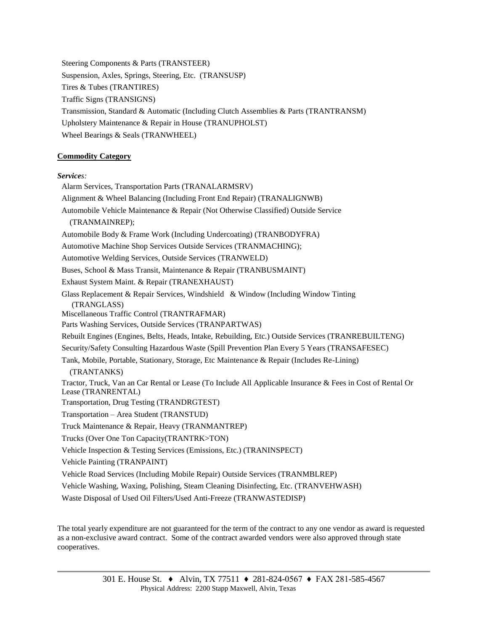Steering Components & Parts (TRANSTEER) Suspension, Axles, Springs, Steering, Etc. (TRANSUSP) Tires & Tubes (TRANTIRES) Traffic Signs (TRANSIGNS) Transmission, Standard & Automatic (Including Clutch Assemblies & Parts (TRANTRANSM) Upholstery Maintenance & Repair in House (TRANUPHOLST) Wheel Bearings & Seals (TRANWHEEL)

## **Commodity Category**

## *Services:*

Alarm Services, Transportation Parts (TRANALARMSRV) Alignment & Wheel Balancing (Including Front End Repair) (TRANALIGNWB) Automobile Vehicle Maintenance & Repair (Not Otherwise Classified) Outside Service (TRANMAINREP); Automobile Body & Frame Work (Including Undercoating) (TRANBODYFRA) Automotive Machine Shop Services Outside Services (TRANMACHING); Automotive Welding Services, Outside Services (TRANWELD) Buses, School & Mass Transit, Maintenance & Repair (TRANBUSMAINT) Exhaust System Maint. & Repair (TRANEXHAUST) Glass Replacement & Repair Services, Windshield & Window (Including Window Tinting (TRANGLASS) Miscellaneous Traffic Control (TRANTRAFMAR) Parts Washing Services, Outside Services (TRANPARTWAS) Rebuilt Engines (Engines, Belts, Heads, Intake, Rebuilding, Etc.) Outside Services (TRANREBUILTENG) Security/Safety Consulting Hazardous Waste (Spill Prevention Plan Every 5 Years (TRANSAFESEC) Tank, Mobile, Portable, Stationary, Storage, Etc Maintenance & Repair (Includes Re-Lining) (TRANTANKS) Tractor, Truck, Van an Car Rental or Lease (To Include All Applicable Insurance & Fees in Cost of Rental Or Lease (TRANRENTAL) Transportation, Drug Testing (TRANDRGTEST) Transportation – Area Student (TRANSTUD) Truck Maintenance & Repair, Heavy (TRANMANTREP) Trucks (Over One Ton Capacity(TRANTRK>TON) Vehicle Inspection & Testing Services (Emissions, Etc.) (TRANINSPECT) Vehicle Painting (TRANPAINT) Vehicle Road Services (Including Mobile Repair) Outside Services (TRANMBLREP) Vehicle Washing, Waxing, Polishing, Steam Cleaning Disinfecting, Etc. (TRANVEHWASH) Waste Disposal of Used Oil Filters/Used Anti-Freeze (TRANWASTEDISP)

The total yearly expenditure are not guaranteed for the term of the contract to any one vendor as award is requested as a non-exclusive award contract. Some of the contract awarded vendors were also approved through state cooperatives.